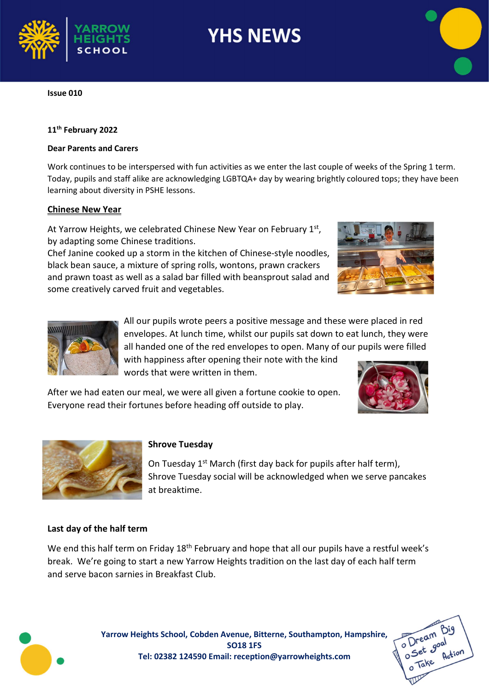

# **YHS NEWS**

Issue 010

## 11<sup>th</sup> February 2022

### Dear Parents and Carers

Work continues to be interspersed with fun activities as we enter the last couple of weeks of the Spring 1 term. Today, pupils and staff alike are acknowledging LGBTQA+ day by wearing brightly coloured tops; they have been learning about diversity in PSHE lessons.

## Chinese New Year

At Yarrow Heights, we celebrated Chinese New Year on February 1<sup>st</sup>, by adapting some Chinese traditions.

Chef Janine cooked up a storm in the kitchen of Chinese-style noodles, black bean sauce, a mixture of spring rolls, wontons, prawn crackers and prawn toast as well as a salad bar filled with beansprout salad and some creatively carved fruit and vegetables.





All our pupils wrote peers a positive message and these were placed in red envelopes. At lunch time, whilst our pupils sat down to eat lunch, they were all handed one of the red envelopes to open. Many of our pupils were filled

with happiness after opening their note with the kind words that were written in them.

After we had eaten our meal, we were all given a fortune cookie to open. Everyone read their fortunes before heading off outside to play.





# Shrove Tuesday

On Tuesday 1<sup>st</sup> March (first day back for pupils after half term), Shrove Tuesday social will be acknowledged when we serve pancakes at breaktime.

# Last day of the half term

We end this half term on Friday 18<sup>th</sup> February and hope that all our pupils have a restful week's break. We're going to start a new Yarrow Heights tradition on the last day of each half term and serve bacon sarnies in Breakfast Club.



Yarrow Heights School, Cobden Avenue, Bitterne, Southampton, Hampshire, SO18 1FS Tel: 02382 124590 Email: reception@yarrowheights.com